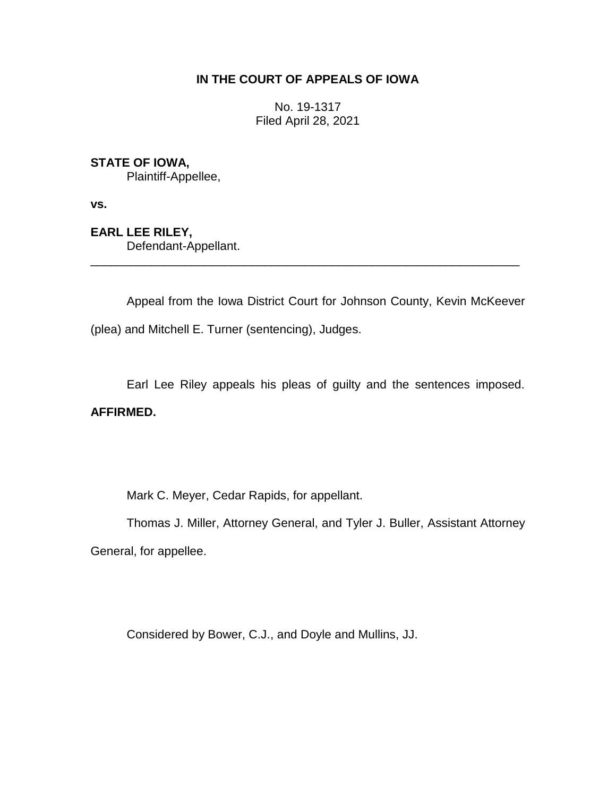## **IN THE COURT OF APPEALS OF IOWA**

No. 19-1317 Filed April 28, 2021

## **STATE OF IOWA,**

Plaintiff-Appellee,

**vs.**

**EARL LEE RILEY,** Defendant-Appellant.

Appeal from the Iowa District Court for Johnson County, Kevin McKeever (plea) and Mitchell E. Turner (sentencing), Judges.

\_\_\_\_\_\_\_\_\_\_\_\_\_\_\_\_\_\_\_\_\_\_\_\_\_\_\_\_\_\_\_\_\_\_\_\_\_\_\_\_\_\_\_\_\_\_\_\_\_\_\_\_\_\_\_\_\_\_\_\_\_\_\_\_

Earl Lee Riley appeals his pleas of guilty and the sentences imposed.

### **AFFIRMED.**

Mark C. Meyer, Cedar Rapids, for appellant.

Thomas J. Miller, Attorney General, and Tyler J. Buller, Assistant Attorney General, for appellee.

Considered by Bower, C.J., and Doyle and Mullins, JJ.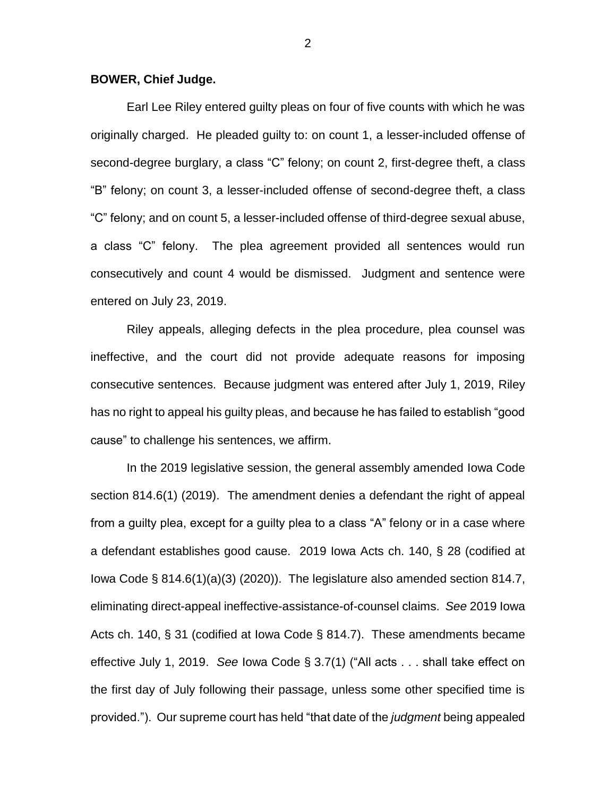#### **BOWER, Chief Judge.**

Earl Lee Riley entered guilty pleas on four of five counts with which he was originally charged. He pleaded guilty to: on count 1, a lesser-included offense of second-degree burglary, a class "C" felony; on count 2, first-degree theft, a class "B" felony; on count 3, a lesser-included offense of second-degree theft, a class "C" felony; and on count 5, a lesser-included offense of third-degree sexual abuse, a class "C" felony. The plea agreement provided all sentences would run consecutively and count 4 would be dismissed. Judgment and sentence were entered on July 23, 2019.

Riley appeals, alleging defects in the plea procedure, plea counsel was ineffective, and the court did not provide adequate reasons for imposing consecutive sentences. Because judgment was entered after July 1, 2019, Riley has no right to appeal his guilty pleas, and because he has failed to establish "good cause" to challenge his sentences, we affirm.

In the 2019 legislative session, the general assembly amended Iowa Code section 814.6(1) (2019). The amendment denies a defendant the right of appeal from a guilty plea, except for a guilty plea to a class "A" felony or in a case where a defendant establishes good cause. 2019 Iowa Acts ch. 140, § 28 (codified at Iowa Code § 814.6(1)(a)(3) (2020)). The legislature also amended section 814.7, eliminating direct-appeal ineffective-assistance-of-counsel claims. *See* 2019 Iowa Acts ch. 140, § 31 (codified at Iowa Code § 814.7). These amendments became effective July 1, 2019. *See* Iowa Code § 3.7(1) ("All acts . . . shall take effect on the first day of July following their passage, unless some other specified time is provided."). Our supreme court has held "that date of the *judgment* being appealed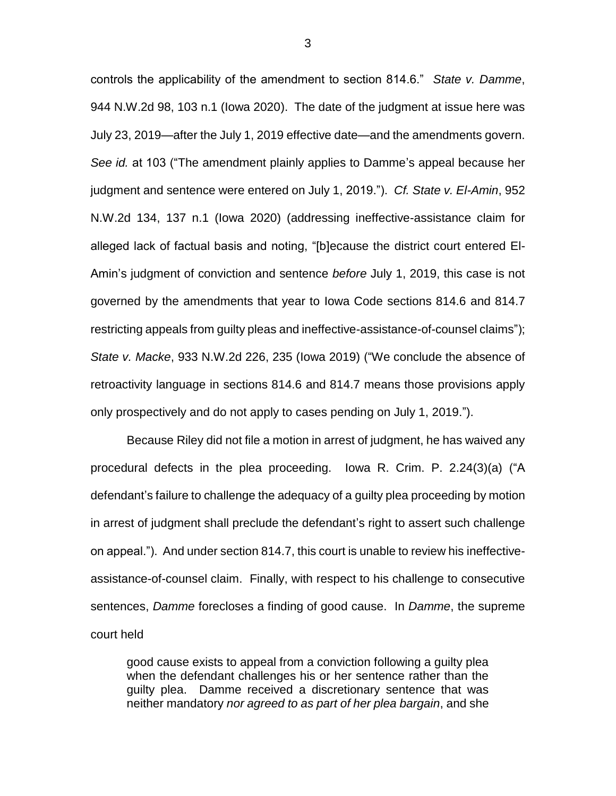controls the applicability of the amendment to section 814.6." *State v. Damme*, 944 N.W.2d 98, 103 n.1 (Iowa 2020). The date of the judgment at issue here was July 23, 2019—after the July 1, 2019 effective date—and the amendments govern. *See id.* at 103 ("The amendment plainly applies to Damme's appeal because her judgment and sentence were entered on July 1, 2019."). *Cf. State v. El-Amin*, 952 N.W.2d 134, 137 n.1 (Iowa 2020) (addressing ineffective-assistance claim for alleged lack of factual basis and noting, "[b]ecause the district court entered El-Amin's judgment of conviction and sentence *before* July 1, 2019, this case is not governed by the amendments that year to Iowa Code sections 814.6 and 814.7 restricting appeals from guilty pleas and ineffective-assistance-of-counsel claims"); *State v. Macke*, 933 N.W.2d 226, 235 (Iowa 2019) ("We conclude the absence of retroactivity language in sections 814.6 and 814.7 means those provisions apply only prospectively and do not apply to cases pending on July 1, 2019.").

Because Riley did not file a motion in arrest of judgment, he has waived any procedural defects in the plea proceeding. Iowa R. Crim. P. 2.24(3)(a) ("A defendant's failure to challenge the adequacy of a guilty plea proceeding by motion in arrest of judgment shall preclude the defendant's right to assert such challenge on appeal."). And under section 814.7, this court is unable to review his ineffectiveassistance-of-counsel claim. Finally, with respect to his challenge to consecutive sentences, *Damme* forecloses a finding of good cause. In *Damme*, the supreme court held

good cause exists to appeal from a conviction following a guilty plea when the defendant challenges his or her sentence rather than the guilty plea. Damme received a discretionary sentence that was neither mandatory *nor agreed to as part of her plea bargain*, and she

3